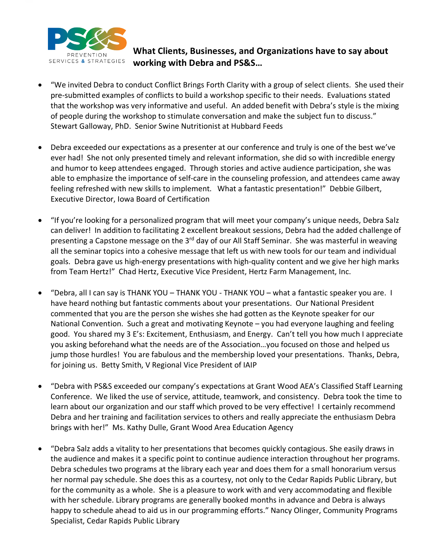

## **What Clients, Businesses, and Organizations have to say about working with Debra and PS&S…**

- "We invited Debra to conduct Conflict Brings Forth Clarity with a group of select clients. She used their pre-submitted examples of conflicts to build a workshop specific to their needs. Evaluations stated that the workshop was very informative and useful. An added benefit with Debra's style is the mixing of people during the workshop to stimulate conversation and make the subject fun to discuss." Stewart Galloway, PhD. Senior Swine Nutritionist at Hubbard Feeds
- Debra exceeded our expectations as a presenter at our conference and truly is one of the best we've ever had! She not only presented timely and relevant information, she did so with incredible energy and humor to keep attendees engaged. Through stories and active audience participation, she was able to emphasize the importance of self-care in the counseling profession, and attendees came away feeling refreshed with new skills to implement. What a fantastic presentation!" Debbie Gilbert, Executive Director, Iowa Board of Certification
- "If you're looking for a personalized program that will meet your company's unique needs, Debra Salz can deliver! In addition to facilitating 2 excellent breakout sessions, Debra had the added challenge of presenting a Capstone message on the 3<sup>rd</sup> day of our All Staff Seminar. She was masterful in weaving all the seminar topics into a cohesive message that left us with new tools for our team and individual goals. Debra gave us high-energy presentations with high-quality content and we give her high marks from Team Hertz!" Chad Hertz, Executive Vice President, Hertz Farm Management, Inc.
- "Debra, all I can say is THANK YOU THANK YOU THANK YOU what a fantastic speaker you are. I have heard nothing but fantastic comments about your presentations. Our National President commented that you are the person she wishes she had gotten as the Keynote speaker for our National Convention. Such a great and motivating Keynote – you had everyone laughing and feeling good. You shared my 3 E's: Excitement, Enthusiasm, and Energy. Can't tell you how much I appreciate you asking beforehand what the needs are of the Association…you focused on those and helped us jump those hurdles! You are fabulous and the membership loved your presentations. Thanks, Debra, for joining us. Betty Smith, V Regional Vice President of IAIP
- "Debra with PS&S exceeded our company's expectations at Grant Wood AEA's Classified Staff Learning Conference. We liked the use of service, attitude, teamwork, and consistency. Debra took the time to learn about our organization and our staff which proved to be very effective! I certainly recommend Debra and her training and facilitation services to others and really appreciate the enthusiasm Debra brings with her!" Ms. Kathy Dulle, Grant Wood Area Education Agency
- "Debra Salz adds a vitality to her presentations that becomes quickly contagious. She easily draws in the audience and makes it a specific point to continue audience interaction throughout her programs. Debra schedules two programs at the library each year and does them for a small honorarium versus her normal pay schedule. She does this as a courtesy, not only to the Cedar Rapids Public Library, but for the community as a whole. She is a pleasure to work with and very accommodating and flexible with her schedule. Library programs are generally booked months in advance and Debra is always happy to schedule ahead to aid us in our programming efforts." Nancy Olinger, Community Programs Specialist, Cedar Rapids Public Library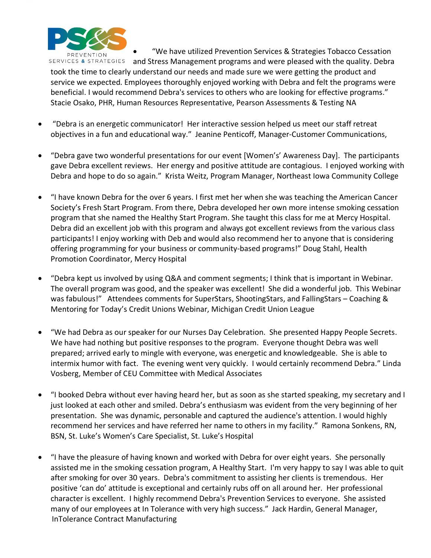

• "We have utilized Prevention Services & Strategies Tobacco Cessation

and Stress Management programs and were pleased with the quality. Debra took the time to clearly understand our needs and made sure we were getting the product and service we expected. Employees thoroughly enjoyed working with Debra and felt the programs were beneficial. I would recommend Debra's services to others who are looking for effective programs." Stacie Osako, PHR, Human Resources Representative, Pearson Assessments & Testing NA

- "Debra is an energetic communicator! Her interactive session helped us meet our staff retreat objectives in a fun and educational way." Jeanine Penticoff, Manager-Customer Communications,
- "Debra gave two wonderful presentations for our event [Women's' Awareness Day]. The participants gave Debra excellent reviews. Her energy and positive attitude are contagious. I enjoyed working with Debra and hope to do so again." Krista Weitz, Program Manager, Northeast Iowa Community College
- "I have known Debra for the over 6 years. I first met her when she was teaching the American Cancer Society's Fresh Start Program. From there, Debra developed her own more intense smoking cessation program that she named the Healthy Start Program. She taught this class for me at Mercy Hospital. Debra did an excellent job with this program and always got excellent reviews from the various class participants! I enjoy working with Deb and would also recommend her to anyone that is considering offering programming for your business or community-based programs!" Doug Stahl, Health Promotion Coordinator, Mercy Hospital
- "Debra kept us involved by using Q&A and comment segments; I think that is important in Webinar. The overall program was good, and the speaker was excellent! She did a wonderful job. This Webinar was fabulous!" Attendees comments for SuperStars, ShootingStars, and FallingStars – Coaching & Mentoring for Today's Credit Unions Webinar, Michigan Credit Union League
- "We had Debra as our speaker for our Nurses Day Celebration. She presented Happy People Secrets. We have had nothing but positive responses to the program. Everyone thought Debra was well prepared; arrived early to mingle with everyone, was energetic and knowledgeable. She is able to intermix humor with fact. The evening went very quickly. I would certainly recommend Debra." Linda Vosberg, Member of CEU Committee with Medical Associates
- "I booked Debra without ever having heard her, but as soon as she started speaking, my secretary and I just looked at each other and smiled. Debra's enthusiasm was evident from the very beginning of her presentation. She was dynamic, personable and captured the audience's attention. I would highly recommend her services and have referred her name to others in my facility." Ramona Sonkens, RN, BSN, St. Luke's Women's Care Specialist, St. Luke's Hospital
- "I have the pleasure of having known and worked with Debra for over eight years. She personally assisted me in the smoking cessation program, A Healthy Start. I'm very happy to say I was able to quit after smoking for over 30 years. Debra's commitment to assisting her clients is tremendous. Her positive 'can do' attitude is exceptional and certainly rubs off on all around her. Her professional character is excellent. I highly recommend Debra's Prevention Services to everyone. She assisted many of our employees at In Tolerance with very high success." Jack Hardin, General Manager, InTolerance Contract Manufacturing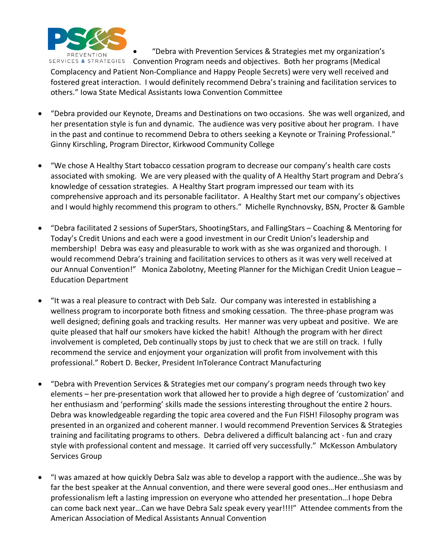

• "Debra with Prevention Services & Strategies met my organization's

Convention Program needs and objectives. Both her programs (Medical Complacency and Patient Non-Compliance and Happy People Secrets) were very well received and fostered great interaction. I would definitely recommend Debra's training and facilitation services to others." Iowa State Medical Assistants Iowa Convention Committee

- "Debra provided our Keynote, Dreams and Destinations on two occasions. She was well organized, and her presentation style is fun and dynamic. The audience was very positive about her program. I have in the past and continue to recommend Debra to others seeking a Keynote or Training Professional." Ginny Kirschling, Program Director, Kirkwood Community College
- "We chose A Healthy Start tobacco cessation program to decrease our company's health care costs associated with smoking. We are very pleased with the quality of A Healthy Start program and Debra's knowledge of cessation strategies. A Healthy Start program impressed our team with its comprehensive approach and its personable facilitator. A Healthy Start met our company's objectives and I would highly recommend this program to others." Michelle Rynchnovsky, BSN, Procter & Gamble
- "Debra facilitated 2 sessions of SuperStars, ShootingStars, and FallingStars Coaching & Mentoring for Today's Credit Unions and each were a good investment in our Credit Union's leadership and membership! Debra was easy and pleasurable to work with as she was organized and thorough. I would recommend Debra's training and facilitation services to others as it was very well received at our Annual Convention!" Monica Zabolotny, Meeting Planner for the Michigan Credit Union League – Education Department
- "It was a real pleasure to contract with Deb Salz. Our company was interested in establishing a wellness program to incorporate both fitness and smoking cessation. The three-phase program was well designed; defining goals and tracking results. Her manner was very upbeat and positive. We are quite pleased that half our smokers have kicked the habit! Although the program with her direct involvement is completed, Deb continually stops by just to check that we are still on track. I fully recommend the service and enjoyment your organization will profit from involvement with this professional." Robert D. Becker, President InTolerance Contract Manufacturing
- "Debra with Prevention Services & Strategies met our company's program needs through two key elements – her pre-presentation work that allowed her to provide a high degree of 'customization' and her enthusiasm and 'performing' skills made the sessions interesting throughout the entire 2 hours. Debra was knowledgeable regarding the topic area covered and the Fun FISH! Filosophy program was presented in an organized and coherent manner. I would recommend Prevention Services & Strategies training and facilitating programs to others. Debra delivered a difficult balancing act - fun and crazy style with professional content and message. It carried off very successfully." McKesson Ambulatory Services Group
- "I was amazed at how quickly Debra Salz was able to develop a rapport with the audience…She was by far the best speaker at the Annual convention, and there were several good ones…Her enthusiasm and professionalism left a lasting impression on everyone who attended her presentation…I hope Debra can come back next year…Can we have Debra Salz speak every year!!!!" Attendee comments from the American Association of Medical Assistants Annual Convention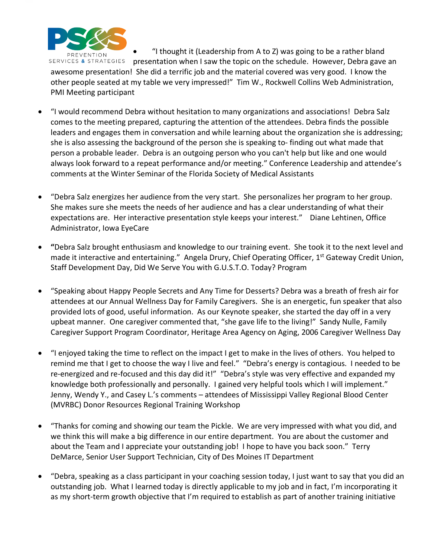

• "I thought it (Leadership from A to Z) was going to be a rather bland SERVICES & STRATEGIES presentation when I saw the topic on the schedule. However, Debra gave an awesome presentation! She did a terrific job and the material covered was very good. I know the other people seated at my table we very impressed!" Tim W., Rockwell Collins Web Administration, PMI Meeting participant

- "I would recommend Debra without hesitation to many organizations and associations! Debra Salz comes to the meeting prepared, capturing the attention of the attendees. Debra finds the possible leaders and engages them in conversation and while learning about the organization she is addressing; she is also assessing the background of the person she is speaking to- finding out what made that person a probable leader. Debra is an outgoing person who you can't help but like and one would always look forward to a repeat performance and/or meeting." Conference Leadership and attendee's comments at the Winter Seminar of the Florida Society of Medical Assistants
- "Debra Salz energizes her audience from the very start. She personalizes her program to her group. She makes sure she meets the needs of her audience and has a clear understanding of what their expectations are. Her interactive presentation style keeps your interest." Diane Lehtinen, Office Administrator, Iowa EyeCare
- **"**Debra Salz brought enthusiasm and knowledge to our training event. She took it to the next level and made it interactive and entertaining." Angela Drury, Chief Operating Officer, 1<sup>st</sup> Gateway Credit Union, Staff Development Day, Did We Serve You with G.U.S.T.O. Today? Program
- "Speaking about Happy People Secrets and Any Time for Desserts? Debra was a breath of fresh air for attendees at our Annual Wellness Day for Family Caregivers. She is an energetic, fun speaker that also provided lots of good, useful information. As our Keynote speaker, she started the day off in a very upbeat manner. One caregiver commented that, "she gave life to the living!" Sandy Nulle, Family Caregiver Support Program Coordinator, Heritage Area Agency on Aging, 2006 Caregiver Wellness Day
- "I enjoyed taking the time to reflect on the impact I get to make in the lives of others. You helped to remind me that I get to choose the way I live and feel." "Debra's energy is contagious. I needed to be re-energized and re-focused and this day did it!" "Debra's style was very effective and expanded my knowledge both professionally and personally. I gained very helpful tools which I will implement." Jenny, Wendy Y., and Casey L.'s comments – attendees of Mississippi Valley Regional Blood Center (MVRBC) Donor Resources Regional Training Workshop
- "Thanks for coming and showing our team the Pickle. We are very impressed with what you did, and we think this will make a big difference in our entire department. You are about the customer and about the Team and I appreciate your outstanding job! I hope to have you back soon." Terry DeMarce, Senior User Support Technician, City of Des Moines IT Department
- "Debra, speaking as a class participant in your coaching session today, I just want to say that you did an outstanding job. What I learned today is directly applicable to my job and in fact, I'm incorporating it as my short-term growth objective that I'm required to establish as part of another training initiative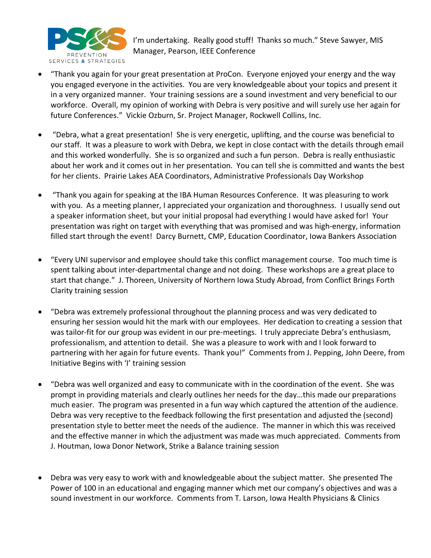

I'm undertaking. Really good stuff! Thanks so much." Steve Sawyer, MIS Manager, Pearson, IEEE Conference

- "Thank you again for your great presentation at ProCon. Everyone enjoyed your energy and the way you engaged everyone in the activities. You are very knowledgeable about your topics and present it in a very organized manner. Your training sessions are a sound investment and very beneficial to our workforce. Overall, my opinion of working with Debra is very positive and will surely use her again for future Conferences." Vickie Ozburn, Sr. Project Manager, Rockwell Collins, Inc.
- "Debra, what a great presentation! She is very energetic, uplifting, and the course was beneficial to our staff. It was a pleasure to work with Debra, we kept in close contact with the details through email and this worked wonderfully. She is so organized and such a fun person. Debra is really enthusiastic about her work and it comes out in her presentation. You can tell she is committed and wants the best for her clients. Prairie Lakes AEA Coordinators, Administrative Professionals Day Workshop
- "Thank you again for speaking at the IBA Human Resources Conference. It was pleasuring to work with you. As a meeting planner, I appreciated your organization and thoroughness. I usually send out a speaker information sheet, but your initial proposal had everything I would have asked for! Your presentation was right on target with everything that was promised and was high-energy, information filled start through the event! Darcy Burnett, CMP, Education Coordinator, Iowa Bankers Association
- "Every UNI supervisor and employee should take this conflict management course. Too much time is spent talking about inter-departmental change and not doing. These workshops are a great place to start that change." J. Thoreen, University of Northern Iowa Study Abroad, from Conflict Brings Forth Clarity training session
- "Debra was extremely professional throughout the planning process and was very dedicated to ensuring her session would hit the mark with our employees. Her dedication to creating a session that was tailor-fit for our group was evident in our pre-meetings. I truly appreciate Debra's enthusiasm, professionalism, and attention to detail. She was a pleasure to work with and I look forward to partnering with her again for future events. Thank you!" Comments from J. Pepping, John Deere, from Initiative Begins with 'I' training session
- "Debra was well organized and easy to communicate with in the coordination of the event. She was prompt in providing materials and clearly outlines her needs for the day…this made our preparations much easier. The program was presented in a fun way which captured the attention of the audience. Debra was very receptive to the feedback following the first presentation and adjusted the (second) presentation style to better meet the needs of the audience. The manner in which this was received and the effective manner in which the adjustment was made was much appreciated. Comments from J. Houtman, Iowa Donor Network, Strike a Balance training session
- Debra was very easy to work with and knowledgeable about the subject matter. She presented The Power of 100 in an educational and engaging manner which met our company's objectives and was a sound investment in our workforce. Comments from T. Larson, Iowa Health Physicians & Clinics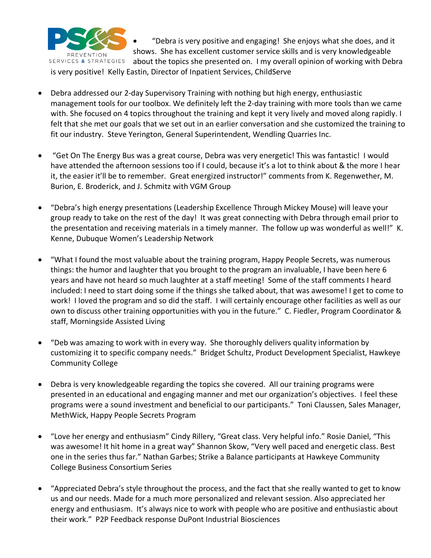

• "Debra is very positive and engaging! She enjoys what she does, and it shows. She has excellent customer service skills and is very knowledgeable about the topics she presented on. I my overall opinion of working with Debra

is very positive! Kelly Eastin, Director of Inpatient Services, ChildServe

- Debra addressed our 2-day Supervisory Training with nothing but high energy, enthusiastic management tools for our toolbox. We definitely left the 2-day training with more tools than we came with. She focused on 4 topics throughout the training and kept it very lively and moved along rapidly. I felt that she met our goals that we set out in an earlier conversation and she customized the training to fit our industry. Steve Yerington, General Superintendent, Wendling Quarries Inc.
- "Get On The Energy Bus was a great course, Debra was very energetic! This was fantastic! I would have attended the afternoon sessions too if I could, because it's a lot to think about & the more I hear it, the easier it'll be to remember. Great energized instructor!" comments from K. Regenwether, M. Burion, E. Broderick, and J. Schmitz with VGM Group
- "Debra's high energy presentations (Leadership Excellence Through Mickey Mouse) will leave your group ready to take on the rest of the day! It was great connecting with Debra through email prior to the presentation and receiving materials in a timely manner. The follow up was wonderful as well!" K. Kenne, Dubuque Women's Leadership Network
- "What I found the most valuable about the training program, Happy People Secrets, was numerous things: the humor and laughter that you brought to the program an invaluable, I have been here 6 years and have not heard so much laughter at a staff meeting! Some of the staff comments I heard included: I need to start doing some if the things she talked about, that was awesome! I get to come to work! I loved the program and so did the staff. I will certainly encourage other facilities as well as our own to discuss other training opportunities with you in the future." C. Fiedler, Program Coordinator & staff, Morningside Assisted Living
- "Deb was amazing to work with in every way. She thoroughly delivers quality information by customizing it to specific company needs." Bridget Schultz, Product Development Specialist, Hawkeye Community College
- Debra is very knowledgeable regarding the topics she covered. All our training programs were presented in an educational and engaging manner and met our organization's objectives. I feel these programs were a sound investment and beneficial to our participants." Toni Claussen, Sales Manager, MethWick, Happy People Secrets Program
- "Love her energy and enthusiasm" Cindy Rillery, "Great class. Very helpful info." Rosie Daniel, "This was awesome! It hit home in a great way" Shannon Skow, "Very well paced and energetic class. Best one in the series thus far." Nathan Garbes; Strike a Balance participants at Hawkeye Community College Business Consortium Series
- "Appreciated Debra's style throughout the process, and the fact that she really wanted to get to know us and our needs. Made for a much more personalized and relevant session. Also appreciated her energy and enthusiasm. It's always nice to work with people who are positive and enthusiastic about their work." P2P Feedback response DuPont Industrial Biosciences